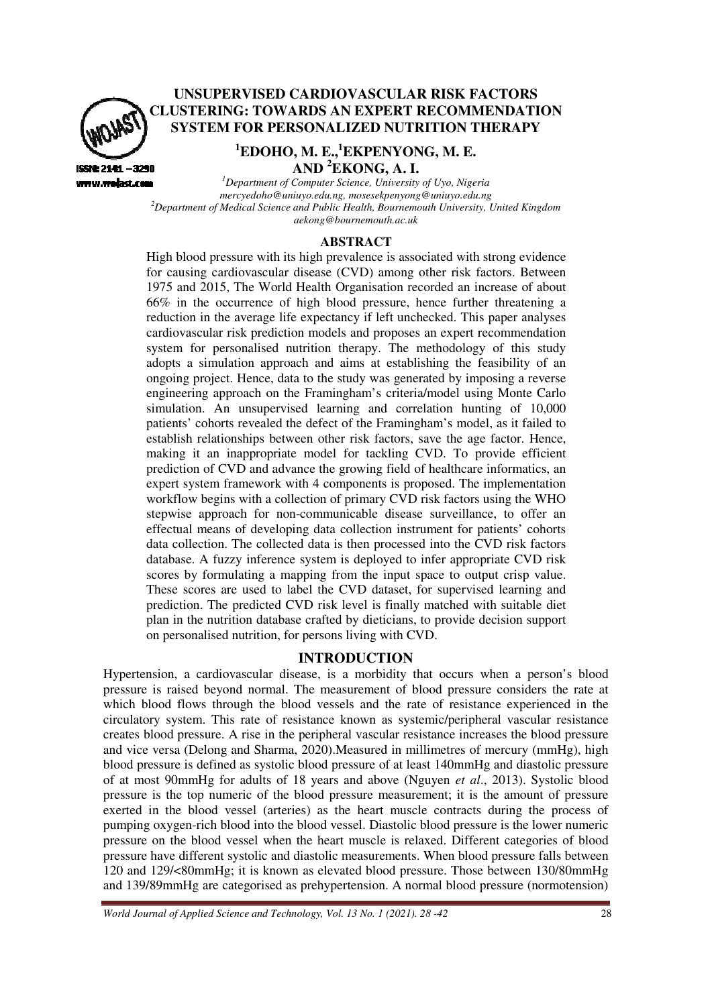

# **UNSUPERVISED CARDIOVASCULAR RISK FACTORS CLUSTERING: TOWARDS AN EXPERT RECOMMENDATION SYSTEM FOR PERSONALIZED NUTRITION THERAPY**

# **<sup>1</sup>EDOHO, M. E., <sup>1</sup>EKPENYONG, M. E. AND <sup>2</sup>EKONG, A. I.**

www.woiast.com *<sup>1</sup>Department of Computer Science, University of Uyo, Nigeria mercyedoho@uniuyo.edu.ng, mosesekpenyong@uniuyo.edu.ng* <sup>2</sup> Department of Medical Science and Public Health, Bournemouth University, United Kingdom *aekong@bournemouth.ac.uk* 

#### **ABSTRACT**

High blood pressure with its high prevalence is associated with strong evidence for causing cardiovascular disease (CVD) among other risk factors. Between 1975 and 2015, The World Health Organisation recorded an increase of about 66% in the occurrence of high blood pressure, hence further threatening a 66% in the occurrence of high blood pressure, hence further threatening a reduction in the average life expectancy if left unchecked. This paper analyses cardiovascular risk prediction models and proposes an expert recommendation system for personalised nutrition therapy. The methodology of this study adopts a simulation approach and aims at establishing the feasibility of an ongoing project. Hence, data to the study was generated by imposing a reverse engineering approach on the Framingham's criteria/model using Monte Carlo simulation. An unsupervised learning and correlation hunting of 10,000 simulation. An unsupervised learning and correlation hunting of 10,000 patients' cohorts revealed the defect of the Framingham's model, as it failed to establish relationships between other risk factors, save the age factor. Hence, making it an inappropriate model for tackling CVD. To provide efficient prediction of CVD and advance the growing field of healthcare informatics, an expert system framework with 4 components is proposed. The implementation workflow begins with a collection of primary CVD risk factors using the WHO stepwise approach for non-communicable disease surveillance, to offer an effectual means of developing data collection instrument for patients' cohorts data collection. The collected data is then processed into the CVD risk factors database. A fuzzy inference system is deployed to infer appropriate CVD risk scores by formulating a mapping from the input space to output crisp value. These scores are used to label the CVD dataset, for supervised learning and prediction. The predicted CVD risk level is finally matched with suitable diet plan in the nutrition database crafted by dieticians, to provide decision support on personalised nutrition, for persons living with CVD. ing a reverse<br>Monte Carlo<br>g of 10,000

### **INTRODUCTION**

Hypertension, a cardiovascular disease, is a morbidity that occurs when a person's blood pressure is raised beyond normal. The measurement of blood pressure considers the rate at which blood flows through the blood vessels and the rate of resistance experienced in the circulatory system. This rate of resistance known as systemic/peripheral vascular resistance creates blood pressure. A rise in the peripheral vascular resistance increases the blood pressure and vice versa (Delong and Sharma, 2020). Measured in millimetres of mercury (mmHg), high blood pressure is defined as systolic blood pressure of at least 140mmHg and diastolic pressure of at most 90mmHg for adults of 18 years and above (Nguyen *et al*., 2013). Systolic blood pressure is the top numeric of the blood pressure measurement; it is the amount of pressure exerted in the blood vessel (arteries) as the heart muscle contracts during the process of pumping oxygen-rich blood into the blood vessel. Diastolic blood pressure is the lower numeric pressure on the blood vessel when the heart muscle is relaxed. Different categories of blood pressure have different systolic and diastolic measurements. When blood pressure falls between 120 and 129/<80mmHg; it is known as elevated blood pressure. Those between 130/80mmHg and 139/89mmHg are categorised as prehypertension. A normal blood pressure (normotension) %, to provide decision support<br>
"VD.<br>
that occurs when a person's blood<br>
blood pressure considers the rate at<br>
tate of resistance experienced in the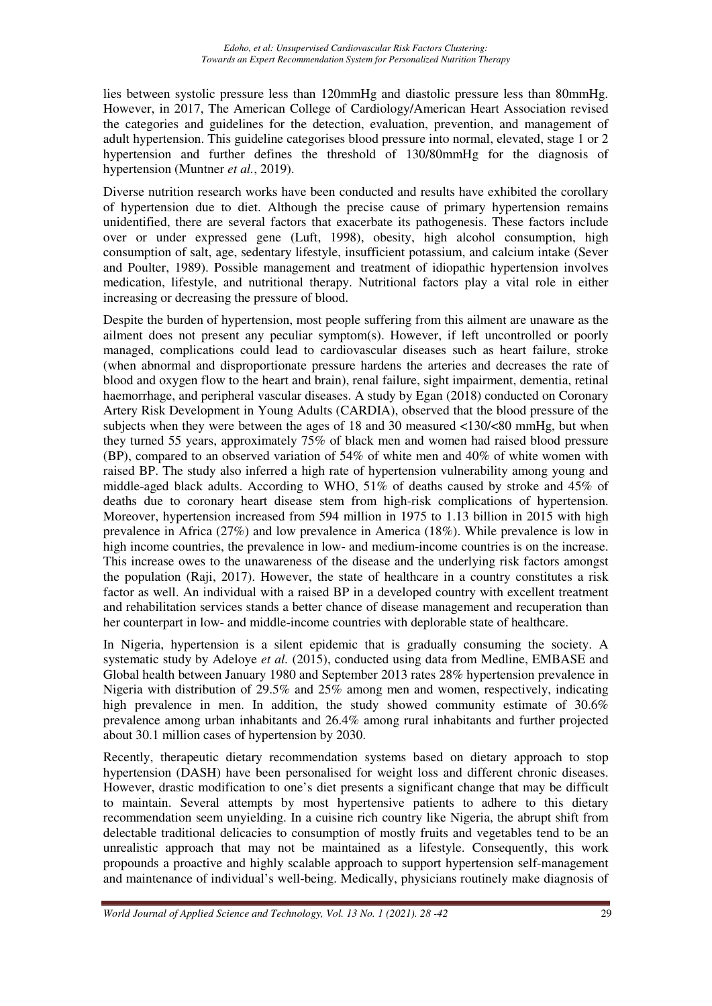lies between systolic pressure less than 120mmHg and diastolic pressure less than 80mmHg. However, in 2017, The American College of Cardiology/American Heart Association revised the categories and guidelines for the detection, evaluation, prevention, and management of adult hypertension. This guideline categorises blood pressure into normal, elevated, stage 1 or 2 hypertension and further defines the threshold of 130/80mmHg for the diagnosis of hypertension (Muntner *et al.*, 2019).

Diverse nutrition research works have been conducted and results have exhibited the corollary of hypertension due to diet. Although the precise cause of primary hypertension remains unidentified, there are several factors that exacerbate its pathogenesis. These factors include over or under expressed gene (Luft, 1998), obesity, high alcohol consumption, high consumption of salt, age, sedentary lifestyle, insufficient potassium, and calcium intake (Sever and Poulter, 1989). Possible management and treatment of idiopathic hypertension involves medication, lifestyle, and nutritional therapy. Nutritional factors play a vital role in either increasing or decreasing the pressure of blood.

Despite the burden of hypertension, most people suffering from this ailment are unaware as the ailment does not present any peculiar symptom(s). However, if left uncontrolled or poorly managed, complications could lead to cardiovascular diseases such as heart failure, stroke (when abnormal and disproportionate pressure hardens the arteries and decreases the rate of blood and oxygen flow to the heart and brain), renal failure, sight impairment, dementia, retinal haemorrhage, and peripheral vascular diseases. A study by Egan (2018) conducted on Coronary Artery Risk Development in Young Adults (CARDIA), observed that the blood pressure of the subjects when they were between the ages of 18 and 30 measured <130/<80 mmHg, but when they turned 55 years, approximately 75% of black men and women had raised blood pressure (BP), compared to an observed variation of 54% of white men and 40% of white women with raised BP. The study also inferred a high rate of hypertension vulnerability among young and middle-aged black adults. According to WHO, 51% of deaths caused by stroke and 45% of deaths due to coronary heart disease stem from high-risk complications of hypertension. Moreover, hypertension increased from 594 million in 1975 to 1.13 billion in 2015 with high prevalence in Africa (27%) and low prevalence in America (18%). While prevalence is low in high income countries, the prevalence in low- and medium-income countries is on the increase. This increase owes to the unawareness of the disease and the underlying risk factors amongst the population (Raji, 2017). However, the state of healthcare in a country constitutes a risk factor as well. An individual with a raised BP in a developed country with excellent treatment and rehabilitation services stands a better chance of disease management and recuperation than her counterpart in low- and middle-income countries with deplorable state of healthcare.

In Nigeria, hypertension is a silent epidemic that is gradually consuming the society. A systematic study by Adeloye *et al.* (2015), conducted using data from Medline, EMBASE and Global health between January 1980 and September 2013 rates 28% hypertension prevalence in Nigeria with distribution of 29.5% and 25% among men and women, respectively, indicating high prevalence in men. In addition, the study showed community estimate of 30.6% prevalence among urban inhabitants and 26.4% among rural inhabitants and further projected about 30.1 million cases of hypertension by 2030.

Recently, therapeutic dietary recommendation systems based on dietary approach to stop hypertension (DASH) have been personalised for weight loss and different chronic diseases. However, drastic modification to one's diet presents a significant change that may be difficult to maintain. Several attempts by most hypertensive patients to adhere to this dietary recommendation seem unyielding. In a cuisine rich country like Nigeria, the abrupt shift from delectable traditional delicacies to consumption of mostly fruits and vegetables tend to be an unrealistic approach that may not be maintained as a lifestyle. Consequently, this work propounds a proactive and highly scalable approach to support hypertension self-management and maintenance of individual's well-being. Medically, physicians routinely make diagnosis of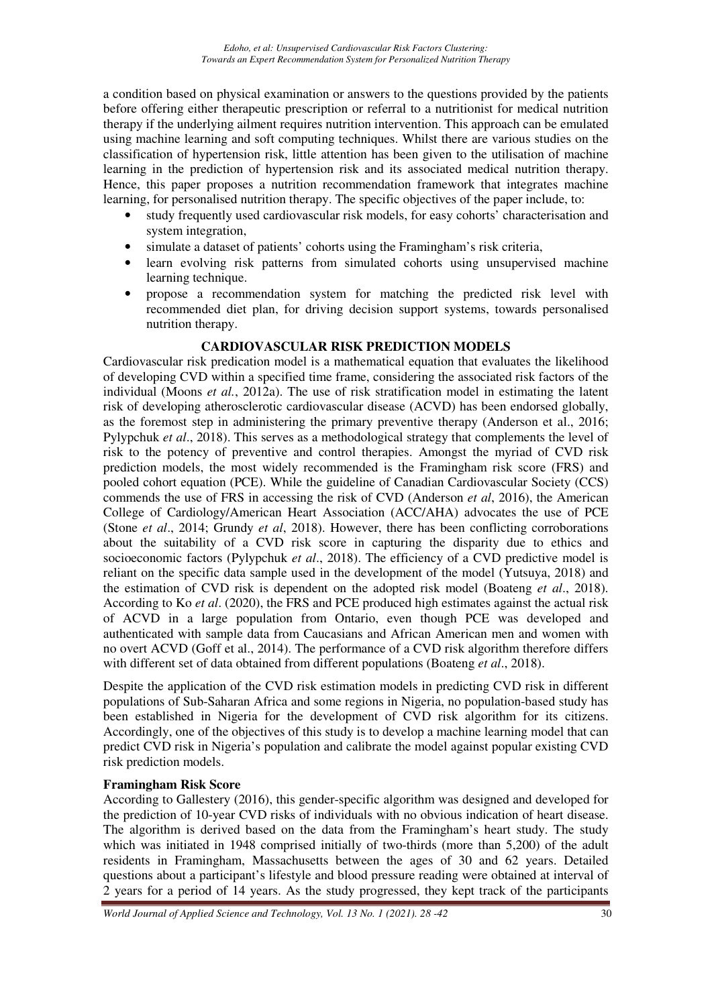a condition based on physical examination or answers to the questions provided by the patients before offering either therapeutic prescription or referral to a nutritionist for medical nutrition therapy if the underlying ailment requires nutrition intervention. This approach can be emulated using machine learning and soft computing techniques. Whilst there are various studies on the classification of hypertension risk, little attention has been given to the utilisation of machine learning in the prediction of hypertension risk and its associated medical nutrition therapy. Hence, this paper proposes a nutrition recommendation framework that integrates machine learning, for personalised nutrition therapy. The specific objectives of the paper include, to:

- study frequently used cardiovascular risk models, for easy cohorts' characterisation and system integration,
- simulate a dataset of patients' cohorts using the Framingham's risk criteria,
- learn evolving risk patterns from simulated cohorts using unsupervised machine learning technique.
- propose a recommendation system for matching the predicted risk level with recommended diet plan, for driving decision support systems, towards personalised nutrition therapy.

# **CARDIOVASCULAR RISK PREDICTION MODELS**

Cardiovascular risk predication model is a mathematical equation that evaluates the likelihood of developing CVD within a specified time frame, considering the associated risk factors of the individual (Moons *et al.*, 2012a). The use of risk stratification model in estimating the latent risk of developing atherosclerotic cardiovascular disease (ACVD) has been endorsed globally, as the foremost step in administering the primary preventive therapy (Anderson et al., 2016; Pylypchuk *et al*., 2018). This serves as a methodological strategy that complements the level of risk to the potency of preventive and control therapies. Amongst the myriad of CVD risk prediction models, the most widely recommended is the Framingham risk score (FRS) and pooled cohort equation (PCE). While the guideline of Canadian Cardiovascular Society (CCS) commends the use of FRS in accessing the risk of CVD (Anderson *et al*, 2016), the American College of Cardiology/American Heart Association (ACC/AHA) advocates the use of PCE (Stone *et al*., 2014; Grundy *et al*, 2018). However, there has been conflicting corroborations about the suitability of a CVD risk score in capturing the disparity due to ethics and socioeconomic factors (Pylypchuk *et al*., 2018). The efficiency of a CVD predictive model is reliant on the specific data sample used in the development of the model (Yutsuya, 2018) and the estimation of CVD risk is dependent on the adopted risk model (Boateng *et al*., 2018). According to Ko *et al*. (2020), the FRS and PCE produced high estimates against the actual risk of ACVD in a large population from Ontario, even though PCE was developed and authenticated with sample data from Caucasians and African American men and women with no overt ACVD (Goff et al., 2014). The performance of a CVD risk algorithm therefore differs with different set of data obtained from different populations (Boateng *et al*., 2018).

Despite the application of the CVD risk estimation models in predicting CVD risk in different populations of Sub-Saharan Africa and some regions in Nigeria, no population-based study has been established in Nigeria for the development of CVD risk algorithm for its citizens. Accordingly, one of the objectives of this study is to develop a machine learning model that can predict CVD risk in Nigeria's population and calibrate the model against popular existing CVD risk prediction models.

# **Framingham Risk Score**

According to Gallestery (2016), this gender-specific algorithm was designed and developed for the prediction of 10-year CVD risks of individuals with no obvious indication of heart disease. The algorithm is derived based on the data from the Framingham's heart study. The study which was initiated in 1948 comprised initially of two-thirds (more than 5,200) of the adult residents in Framingham, Massachusetts between the ages of 30 and 62 years. Detailed questions about a participant's lifestyle and blood pressure reading were obtained at interval of 2 years for a period of 14 years. As the study progressed, they kept track of the participants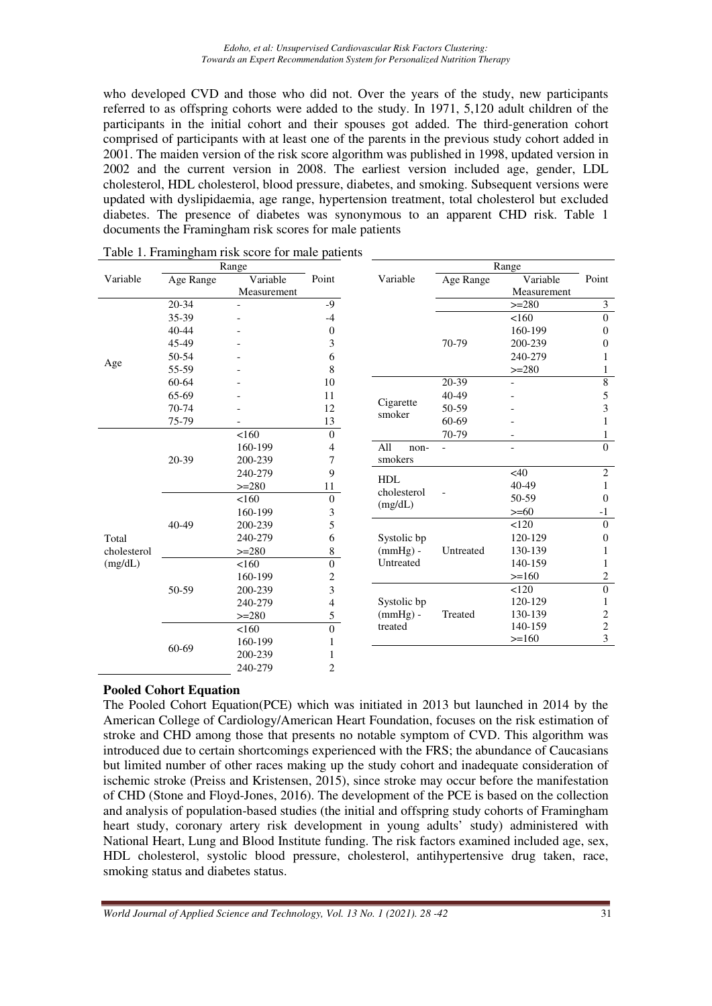*Edoho, et al: Unsupervised Cardiovascular Risk Factors Clustering: Towards an Expert Recommendation System for Personalized Nutrition Therapy* 

who developed CVD and those who did not. Over the years of the study, new participants referred to as offspring cohorts were added to the study. In 1971, 5,120 adult children of the participants in the initial cohort and their spouses got added. The third-generation cohort comprised of participants with at least one of the parents in the previous study cohort added in 2001. The maiden version of the risk score algorithm was published in 1998, updated version in 2002 and the current version in 2008. The earliest version included age, gender, LDL cholesterol, HDL cholesterol, blood pressure, diabetes, and smoking. Subsequent versions were updated with dyslipidaemia, age range, hypertension treatment, total cholesterol but excluded diabetes. The presence of diabetes was synonymous to an apparent CHD risk. Table 1 documents the Framingham risk scores for male patients

|             |           | Range       |                         |                     | Range     |             |                  |
|-------------|-----------|-------------|-------------------------|---------------------|-----------|-------------|------------------|
| Variable    | Age Range | Variable    | Point                   | Variable            | Age Range | Variable    | Point            |
|             |           | Measurement |                         |                     |           | Measurement |                  |
|             | 20-34     |             | -9                      |                     |           | $>=280$     | $\mathfrak{Z}$   |
|             | 35-39     |             | $-4$                    |                     |           | <160        | $\boldsymbol{0}$ |
|             | 40-44     |             | $\theta$                |                     |           | 160-199     | $\theta$         |
|             | 45-49     |             | 3                       |                     | 70-79     | 200-239     | $\boldsymbol{0}$ |
|             | 50-54     |             | 6                       |                     |           | 240-279     | 1                |
| Age         | 55-59     |             | 8                       |                     |           | $>=280$     | 1                |
|             | 60-64     |             | 10                      |                     | $20-39$   |             | $\overline{8}$   |
|             | 65-69     |             | 11                      |                     | 40-49     |             | 5                |
|             | 70-74     |             | 12                      | Cigarette<br>smoker | 50-59     |             | 3                |
|             | 75-79     |             | 13                      |                     | 60-69     |             | 1                |
|             |           | < 160       | $\boldsymbol{0}$        |                     | 70-79     |             | $\mathbf{1}$     |
|             |           | 160-199     | 4                       | All<br>non-         |           |             | $\theta$         |
|             | 20-39     | 200-239     | 7                       | smokers             |           |             |                  |
|             |           | 240-279     | 9                       | HDL                 |           | <40         | $\boldsymbol{2}$ |
|             |           | $>=280$     | 11                      | cholesterol         |           | 40-49       | $\mathbf{1}$     |
|             |           | 160         | $\overline{0}$          | (mg/dL)             |           | 50-59       | $\mathbf{0}$     |
|             |           | 160-199     | 3                       |                     |           | $>= 60$     | $-1$             |
|             | 40-49     | 200-239     | 5                       |                     |           | < 120       | $\boldsymbol{0}$ |
| Total       |           | 240-279     | 6                       | Systolic bp         |           | 120-129     | $\theta$         |
| cholesterol |           | $>=280$     | 8                       | $(mmHg)$ -          | Untreated | 130-139     | 1                |
| (mg/dL)     |           | 160         | $\boldsymbol{0}$        | Untreated           |           | 140-159     | 1                |
|             |           | 160-199     | $\overline{\mathbf{c}}$ |                     |           | $>=160$     | 2                |
|             | 50-59     | 200-239     | 3                       |                     |           | 120         | $\overline{0}$   |
|             |           | 240-279     | 4                       | Systolic bp         |           | 120-129     | $\mathbf{1}$     |
|             |           | $>=280$     | 5                       | $(mmHg)$ -          | Treated   | 130-139     | $\overline{c}$   |
|             |           | 160         | $\boldsymbol{0}$        | treated             |           | 140-159     | $\sqrt{2}$       |
|             |           | 160-199     | 1                       |                     |           | $>=160$     | 3                |
|             | 60-69     | 200-239     | 1                       |                     |           |             |                  |
|             |           | 240-279     | $\overline{c}$          |                     |           |             |                  |
|             |           |             |                         |                     |           |             |                  |

|  | Table 1. Framingham risk score for male patients |  |  |  |
|--|--------------------------------------------------|--|--|--|
|--|--------------------------------------------------|--|--|--|

### **Pooled Cohort Equation**

The Pooled Cohort Equation(PCE) which was initiated in 2013 but launched in 2014 by the American College of Cardiology/American Heart Foundation, focuses on the risk estimation of stroke and CHD among those that presents no notable symptom of CVD. This algorithm was introduced due to certain shortcomings experienced with the FRS; the abundance of Caucasians but limited number of other races making up the study cohort and inadequate consideration of ischemic stroke (Preiss and Kristensen, 2015), since stroke may occur before the manifestation of CHD (Stone and Floyd-Jones, 2016). The development of the PCE is based on the collection and analysis of population-based studies (the initial and offspring study cohorts of Framingham heart study, coronary artery risk development in young adults' study) administered with National Heart, Lung and Blood Institute funding. The risk factors examined included age, sex, HDL cholesterol, systolic blood pressure, cholesterol, antihypertensive drug taken, race, smoking status and diabetes status.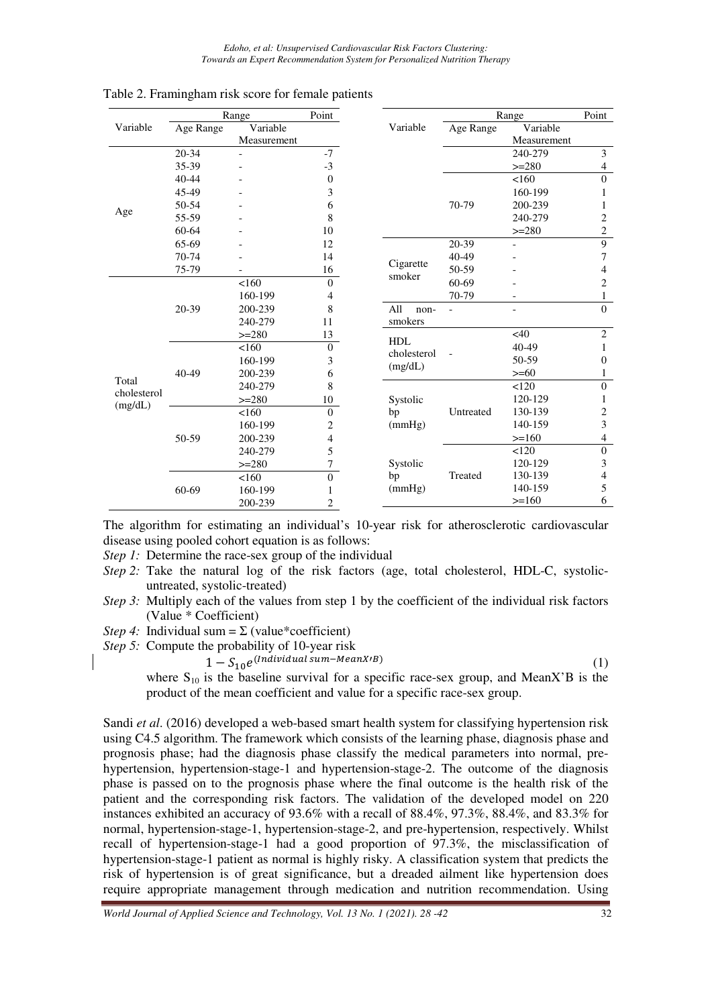|             |           | Range       | Point          |                     |           | Range       |                          |  |
|-------------|-----------|-------------|----------------|---------------------|-----------|-------------|--------------------------|--|
| Variable    | Age Range | Variable    |                | Variable            | Age Range | Variable    |                          |  |
|             |           | Measurement |                |                     |           | Measurement |                          |  |
|             | 20-34     |             | $-7$           |                     |           | 240-279     | 3                        |  |
|             | 35-39     |             | $-3$           |                     |           | $>=280$     | $\overline{\mathcal{A}}$ |  |
|             | $40 - 44$ |             | $\mathbf{0}$   |                     |           | 160         | $\overline{0}$           |  |
|             | 45-49     |             | 3              |                     |           | 160-199     | 1                        |  |
|             | 50-54     |             | 6              |                     | 70-79     | 200-239     | 1                        |  |
| Age         | 55-59     |             | 8              |                     |           | 240-279     | $\overline{c}$           |  |
|             | 60-64     |             | 10             |                     |           | $>=280$     | $\sqrt{2}$               |  |
|             | 65-69     |             | 12             |                     | 20-39     |             | 9                        |  |
|             | 70-74     |             | 14             |                     | 40-49     |             | 7                        |  |
|             | 75-79     |             | 16             | Cigarette<br>smoker | 50-59     |             | 4                        |  |
|             |           | 160         | $\theta$       |                     | 60-69     |             | $\overline{c}$           |  |
|             |           | 160-199     | 4              |                     | 70-79     |             | 1                        |  |
|             | 20-39     | 200-239     | 8              | All                 | non-      |             | $\overline{0}$           |  |
|             |           | 240-279     | 11             | smokers             |           |             |                          |  |
|             |           | $>=280$     | 13             | <b>HDL</b>          |           | $<$ 40      | $\overline{2}$           |  |
|             |           | 160         | $\mathbf{0}$   | cholesterol         |           | 40-49       | 1                        |  |
|             |           | 160-199     | 3              | (mg/dL)             |           | 50-59       | 0                        |  |
| Total       | 40-49     | 200-239     | 6              |                     |           | $>= 60$     | 1                        |  |
| cholesterol |           | 240-279     | 8              |                     |           | 120         | $\boldsymbol{0}$         |  |
| (mg/dL)     |           | $>=280$     | 10             | Systolic            |           | 120-129     | 1                        |  |
|             |           | 160         | $\mathbf{0}$   | bp                  | Untreated | 130-139     | $\overline{c}$           |  |
|             |           | 160-199     | 2              | (mmHg)              |           | 140-159     | 3                        |  |
|             | 50-59     | 200-239     | 4              |                     |           | $>=160$     | $\overline{4}$           |  |
|             |           | 240-279     | 5              |                     |           | 120         | $\boldsymbol{0}$         |  |
|             |           | $>=280$     | 7              | Systolic            |           | 120-129     | 3                        |  |
|             |           | 160         | $\Omega$       | bp                  | Treated   | 130-139     | 4                        |  |
|             | 60-69     | 160-199     |                | (mmHg)              |           | 140-159     | 5                        |  |
|             |           | 200-239     | $\overline{2}$ |                     |           | $>=160$     | 6                        |  |

Table 2. Framingham risk score for female patients

The algorithm for estimating an individual's 10-year risk for atherosclerotic cardiovascular disease using pooled cohort equation is as follows:

*Step 1:* Determine the race-sex group of the individual

- *Step 2:* Take the natural log of the risk factors (age, total cholesterol, HDL-C, systolicuntreated, systolic-treated)
- *Step 3:* Multiply each of the values from step 1 by the coefficient of the individual risk factors (Value \* Coefficient)
- *Step 4:* Individual sum =  $\Sigma$  (value\*coefficient)

*Step 5:* Compute the probability of 10-year risk

 $1-S_{10}e^{(Individual sum-Mean X/B)}$  (1)

where  $S_{10}$  is the baseline survival for a specific race-sex group, and MeanX'B is the product of the mean coefficient and value for a specific race-sex group.

Sandi *et al*. (2016) developed a web-based smart health system for classifying hypertension risk using C4.5 algorithm. The framework which consists of the learning phase, diagnosis phase and prognosis phase; had the diagnosis phase classify the medical parameters into normal, prehypertension, hypertension-stage-1 and hypertension-stage-2. The outcome of the diagnosis phase is passed on to the prognosis phase where the final outcome is the health risk of the patient and the corresponding risk factors. The validation of the developed model on 220 instances exhibited an accuracy of 93.6% with a recall of 88.4%, 97.3%, 88.4%, and 83.3% for normal, hypertension-stage-1, hypertension-stage-2, and pre-hypertension, respectively. Whilst recall of hypertension-stage-1 had a good proportion of 97.3%, the misclassification of hypertension-stage-1 patient as normal is highly risky. A classification system that predicts the risk of hypertension is of great significance, but a dreaded ailment like hypertension does require appropriate management through medication and nutrition recommendation. Using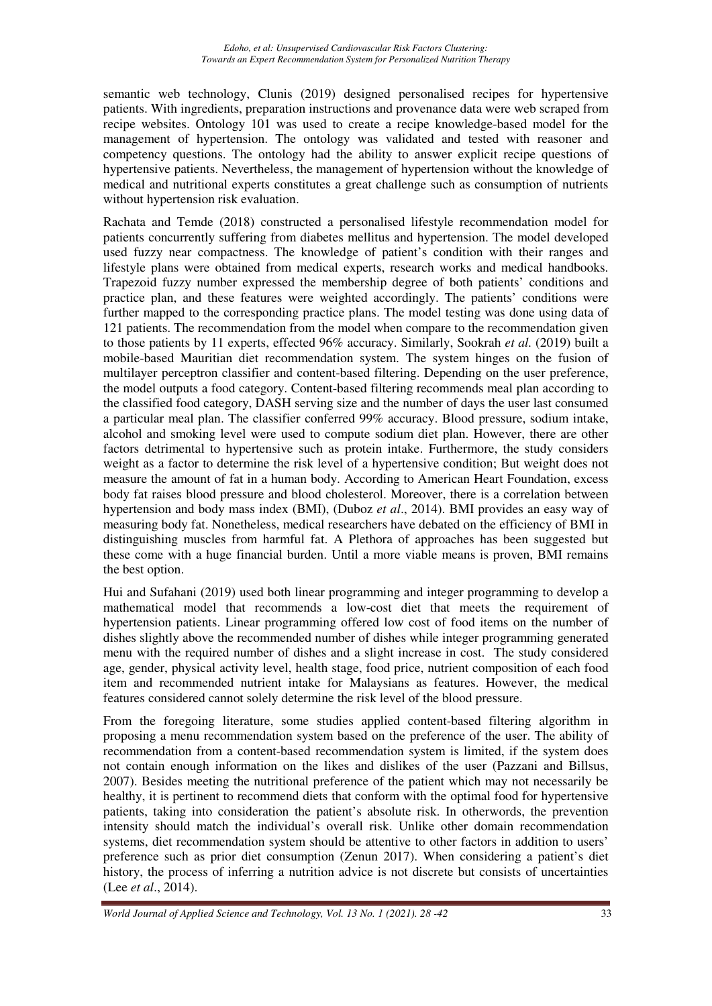semantic web technology, Clunis (2019) designed personalised recipes for hypertensive patients. With ingredients, preparation instructions and provenance data were web scraped from recipe websites. Ontology 101 was used to create a recipe knowledge-based model for the management of hypertension. The ontology was validated and tested with reasoner and competency questions. The ontology had the ability to answer explicit recipe questions of hypertensive patients. Nevertheless, the management of hypertension without the knowledge of medical and nutritional experts constitutes a great challenge such as consumption of nutrients without hypertension risk evaluation.

Rachata and Temde (2018) constructed a personalised lifestyle recommendation model for patients concurrently suffering from diabetes mellitus and hypertension. The model developed used fuzzy near compactness. The knowledge of patient's condition with their ranges and lifestyle plans were obtained from medical experts, research works and medical handbooks. Trapezoid fuzzy number expressed the membership degree of both patients' conditions and practice plan, and these features were weighted accordingly. The patients' conditions were further mapped to the corresponding practice plans. The model testing was done using data of 121 patients. The recommendation from the model when compare to the recommendation given to those patients by 11 experts, effected 96% accuracy. Similarly, Sookrah *et al.* (2019) built a mobile-based Mauritian diet recommendation system. The system hinges on the fusion of multilayer perceptron classifier and content-based filtering. Depending on the user preference, the model outputs a food category. Content-based filtering recommends meal plan according to the classified food category, DASH serving size and the number of days the user last consumed a particular meal plan. The classifier conferred 99% accuracy. Blood pressure, sodium intake, alcohol and smoking level were used to compute sodium diet plan. However, there are other factors detrimental to hypertensive such as protein intake. Furthermore, the study considers weight as a factor to determine the risk level of a hypertensive condition; But weight does not measure the amount of fat in a human body. According to American Heart Foundation, excess body fat raises blood pressure and blood cholesterol. Moreover, there is a correlation between hypertension and body mass index (BMI), (Duboz *et al*., 2014). BMI provides an easy way of measuring body fat. Nonetheless, medical researchers have debated on the efficiency of BMI in distinguishing muscles from harmful fat. A Plethora of approaches has been suggested but these come with a huge financial burden. Until a more viable means is proven, BMI remains the best option.

Hui and Sufahani (2019) used both linear programming and integer programming to develop a mathematical model that recommends a low-cost diet that meets the requirement of hypertension patients. Linear programming offered low cost of food items on the number of dishes slightly above the recommended number of dishes while integer programming generated menu with the required number of dishes and a slight increase in cost. The study considered age, gender, physical activity level, health stage, food price, nutrient composition of each food item and recommended nutrient intake for Malaysians as features. However, the medical features considered cannot solely determine the risk level of the blood pressure.

From the foregoing literature, some studies applied content-based filtering algorithm in proposing a menu recommendation system based on the preference of the user. The ability of recommendation from a content-based recommendation system is limited, if the system does not contain enough information on the likes and dislikes of the user (Pazzani and Billsus, 2007). Besides meeting the nutritional preference of the patient which may not necessarily be healthy, it is pertinent to recommend diets that conform with the optimal food for hypertensive patients, taking into consideration the patient's absolute risk. In otherwords, the prevention intensity should match the individual's overall risk. Unlike other domain recommendation systems, diet recommendation system should be attentive to other factors in addition to users' preference such as prior diet consumption (Zenun 2017). When considering a patient's diet history, the process of inferring a nutrition advice is not discrete but consists of uncertainties (Lee *et al*., 2014).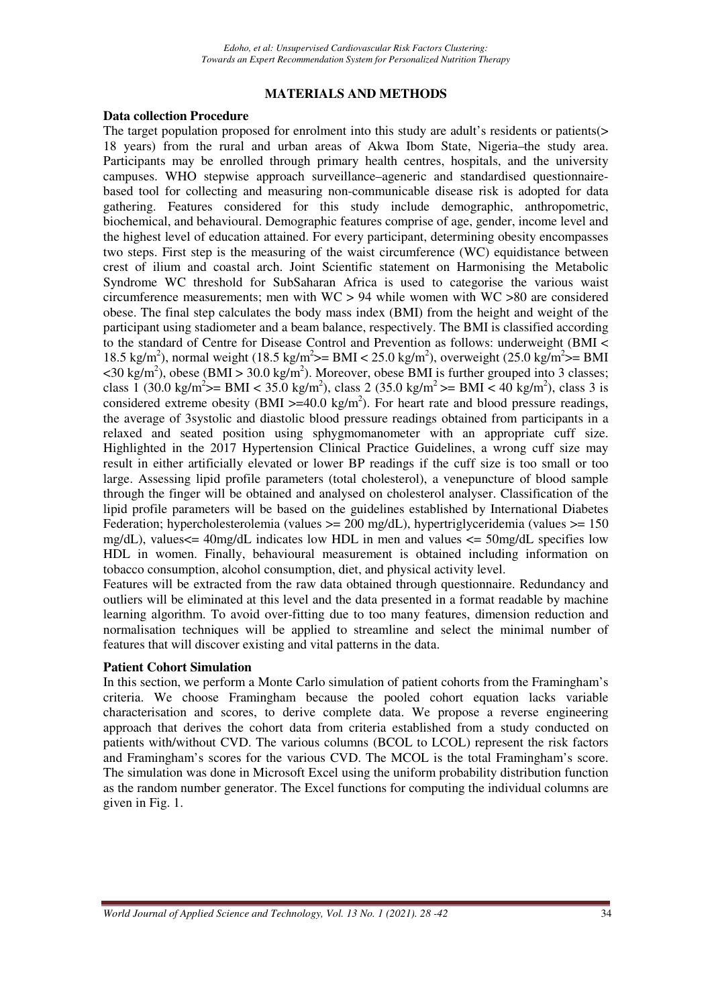### **MATERIALS AND METHODS**

### **Data collection Procedure**

The target population proposed for enrolment into this study are adult's residents or patients(> 18 years) from the rural and urban areas of Akwa Ibom State, Nigeria–the study area. Participants may be enrolled through primary health centres, hospitals, and the university campuses. WHO stepwise approach surveillance–ageneric and standardised questionnairebased tool for collecting and measuring non-communicable disease risk is adopted for data gathering. Features considered for this study include demographic, anthropometric, biochemical, and behavioural. Demographic features comprise of age, gender, income level and the highest level of education attained. For every participant, determining obesity encompasses two steps. First step is the measuring of the waist circumference (WC) equidistance between crest of ilium and coastal arch. Joint Scientific statement on Harmonising the Metabolic Syndrome WC threshold for SubSaharan Africa is used to categorise the various waist circumference measurements; men with WC > 94 while women with WC >80 are considered obese. The final step calculates the body mass index (BMI) from the height and weight of the participant using stadiometer and a beam balance, respectively. The BMI is classified according to the standard of Centre for Disease Control and Prevention as follows: underweight (BMI < 18.5 kg/m<sup>2</sup>), normal weight (18.5 kg/m<sup>2</sup>>= BMI < 25.0 kg/m<sup>2</sup>), overweight (25.0 kg/m<sup>2</sup>>= BMI  $\langle 30 \text{ kg/m}^2 \rangle$ , obese (BMI > 30.0 kg/m<sup>2</sup>). Moreover, obese BMI is further grouped into 3 classes; class 1 (30.0 kg/m<sup>2</sup> $>$ = BMI < 35.0 kg/m<sup>2</sup>), class 2 (35.0 kg/m<sup>2</sup> $>$ = BMI < 40 kg/m<sup>2</sup>), class 3 is considered extreme obesity (BMI  $>=$  40.0 kg/m<sup>2</sup>). For heart rate and blood pressure readings, the average of 3systolic and diastolic blood pressure readings obtained from participants in a relaxed and seated position using sphygmomanometer with an appropriate cuff size. Highlighted in the 2017 Hypertension Clinical Practice Guidelines, a wrong cuff size may result in either artificially elevated or lower BP readings if the cuff size is too small or too large. Assessing lipid profile parameters (total cholesterol), a venepuncture of blood sample through the finger will be obtained and analysed on cholesterol analyser. Classification of the lipid profile parameters will be based on the guidelines established by International Diabetes Federation; hypercholesterolemia (values >= 200 mg/dL), hypertriglyceridemia (values >= 150 mg/dL), values $\leq$  40mg/dL indicates low HDL in men and values  $\leq$  50mg/dL specifies low HDL in women. Finally, behavioural measurement is obtained including information on tobacco consumption, alcohol consumption, diet, and physical activity level.

Features will be extracted from the raw data obtained through questionnaire. Redundancy and outliers will be eliminated at this level and the data presented in a format readable by machine learning algorithm. To avoid over-fitting due to too many features, dimension reduction and normalisation techniques will be applied to streamline and select the minimal number of features that will discover existing and vital patterns in the data.

### **Patient Cohort Simulation**

In this section, we perform a Monte Carlo simulation of patient cohorts from the Framingham's criteria. We choose Framingham because the pooled cohort equation lacks variable characterisation and scores, to derive complete data. We propose a reverse engineering approach that derives the cohort data from criteria established from a study conducted on patients with/without CVD. The various columns (BCOL to LCOL) represent the risk factors and Framingham's scores for the various CVD. The MCOL is the total Framingham's score. The simulation was done in Microsoft Excel using the uniform probability distribution function as the random number generator. The Excel functions for computing the individual columns are given in Fig. 1.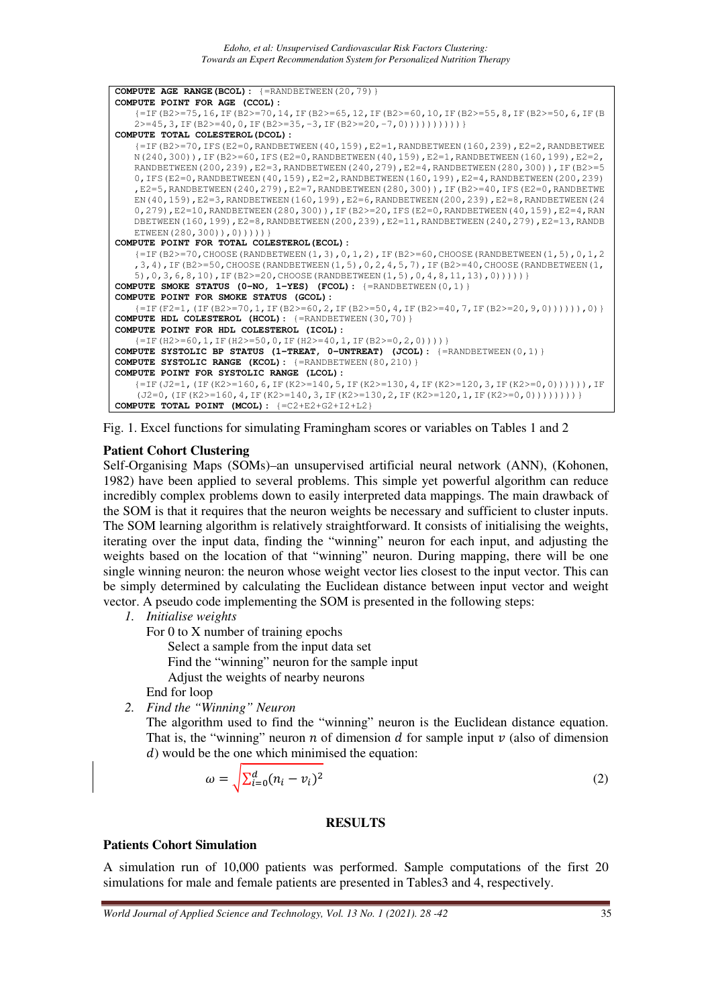```
COMPUTE AGE RANGE(BCOL): {=RANDBETWEEN(20,79)} 
COMPUTE POINT FOR AGE (CCOL):
   {=IF(B2>=75,16,IF(B2>=70,14,IF(B2>=65,12,IF(B2>=60,10,IF(B2>=55,8,IF(B2>=50,6,IF(B
   2>=45,3,IF(B2>=40,0,IF(B2>=35,-3,IF(B2>=20,-7,0))))))))))
COMPUTE TOTAL COLESTEROL(DCOL):
   {I=IF(B2>=70,IFS(E2=0,RANDBETWEEN(40,159),E2=1,RANDBETWEEN(160,239),E2=2,RANDBETWEEN(E1E,160,239)}N(240,300)),IF(B2>=60,IFS(E2=0,RANDBETWEEN(40,159),E2=1,RANDBETWEEN(160,199),E2=2,
   RANDBETWEEN(200,239),E2=3,RANDBETWEEN(240,279),E2=4,RANDBETWEEN(280,300)),IF(B2>=5
   0,IFS(E2=0,RANDBETWEEN(40,159),E2=2,RANDBETWEEN(160,199),E2=4,RANDBETWEEN(200,239)
   ,E2=5,RANDBETWEEN(240,279),E2=7,RANDBETWEEN(280,300)),IF(B2>=40,IFS(E2=0,RANDBETWE
   EN(40,159),E2=3,RANDBETWEEN(160,199),E2=6,RANDBETWEEN(200,239),E2=8,RANDBETWEEN(24
   0,279), E2=10, RANDBETWEEN(280,300)), IF(B2>=20, IFS(E2=0, RANDBETWEEN(40,159), E2=4, RAN
   DBETWEEN(160,199),E2=8,RANDBETWEEN(200,239),E2=11,RANDBETWEEN(240,279),E2=13,RANDB
   ETWEEN(280,300)),0)))))
COMPUTE POINT FOR TOTAL COLESTEROL(ECOL):
   {=IF(B2>=70,CHOOSE(RANDBETWEEN(1,3),0,1,2),IF(B2>=60,CHOOSE(RANDBETWEEN(1,5),0,1,2
   ,3,4),IF(B2>=50,CHOOSE(RANDBETWEEN(1,5),0,2,4,5,7),IF(B2>=40,CHOOSE(RANDBETWEEN(1,
   5),0,3,6,8,10),IF(B2>=20,CHOOSE(RANDBETWEEN(1,5),0,4,8,11,13),0)))))
COMPUTE SMOKE STATUS (0-NO, 1-YES) (FCOL): {=RANDBETWEEN(0,1)} 
COMPUTE POINT FOR SMOKE STATUS (GCOL):
   {=IF(F2=1,(IF(B2>=70,1,IF(B2>=60,2,IF(B2>=50,4,IF(B2>=40,7,IF(B2>=20,9,0)))))),0)} 
COMPUTE HDL COLESTEROL (HCOL): {=RANDBETWEEN(30,70)} 
COMPUTE POINT FOR HDL COLESTEROL (ICOL): 
   {=IF(H2>=60, 1, IF(H2>=50, 0, IF(H2>=40, 1, IF(B2>=0, 2, 0))))}COMPUTE SYSTOLIC BP STATUS (1-TREAT, 0-UNTREAT) (JCOL): {=RANDBETWEEN(0,1)} 
COMPUTE SYSTOLIC RANGE (KCOL): {=RANDBETWEEN(80,210)} 
COMPUTE POINT FOR SYSTOLIC RANGE (LCOL):
   {=IF(J2=1,(IF(K2>=160,6,IF(K2>=140,5,IF(K2>=130,4,IF(K2>=120,3,IF(K2>=0,0)))))),IF
    (J2=0, (IF(K2)=160, 4, IF(K2>=140, 3, IF(K2>=130, 2, IF(K2>=120, 1, IF(K2>=0,0)))))))COMPUTE TOTAL POINT (MCOL): {=C2+E2+G2+I2+L2}
```


# **Patient Cohort Clustering**

Self-Organising Maps (SOMs)–an unsupervised artificial neural network (ANN), (Kohonen, 1982) have been applied to several problems. This simple yet powerful algorithm can reduce incredibly complex problems down to easily interpreted data mappings. The main drawback of the SOM is that it requires that the neuron weights be necessary and sufficient to cluster inputs. The SOM learning algorithm is relatively straightforward. It consists of initialising the weights, iterating over the input data, finding the "winning" neuron for each input, and adjusting the weights based on the location of that "winning" neuron. During mapping, there will be one single winning neuron: the neuron whose weight vector lies closest to the input vector. This can be simply determined by calculating the Euclidean distance between input vector and weight vector. A pseudo code implementing the SOM is presented in the following steps:

*1. Initialise weights* 

For 0 to X number of training epochs

Select a sample from the input data set

Find the "winning" neuron for the sample input

Adjust the weights of nearby neurons

- End for loop
- *2. Find the "Winning" Neuron*

The algorithm used to find the "winning" neuron is the Euclidean distance equation. That is, the "winning" neuron  $n$  of dimension  $d$  for sample input  $\nu$  (also of dimension ) would be the one which minimised the equation:

$$
\omega = \sqrt{\sum_{i=0}^{d} (n_i - v_i)^2}
$$
\n(2)

### **RESULTS**

### **Patients Cohort Simulation**

A simulation run of 10,000 patients was performed. Sample computations of the first 20 simulations for male and female patients are presented in Tables3 and 4, respectively.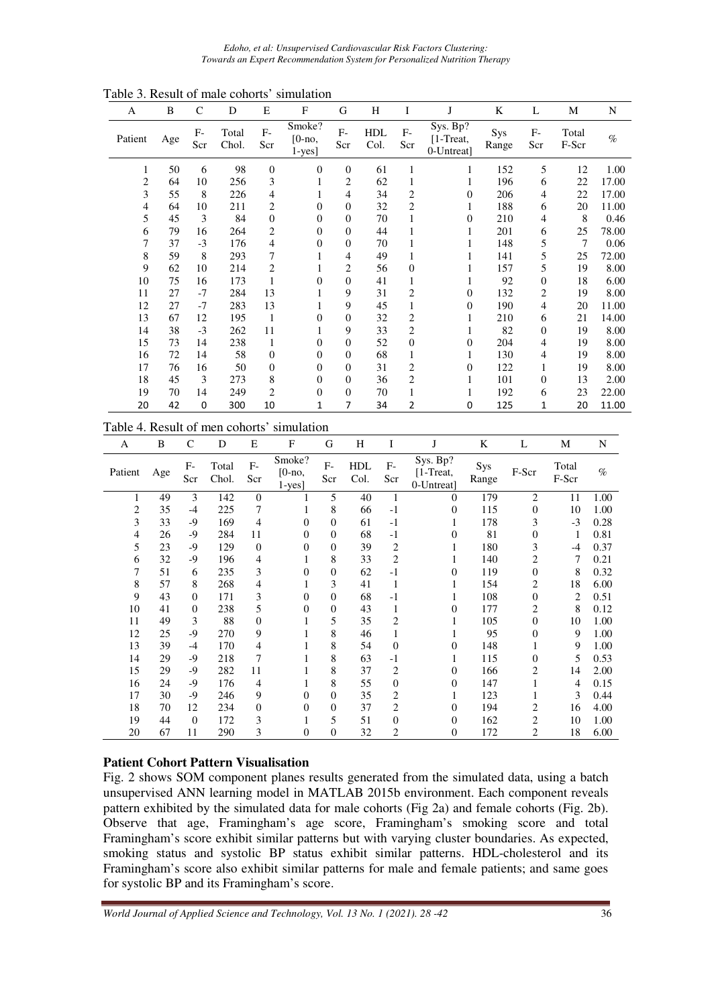*Edoho, et al: Unsupervised Cardiovascular Risk Factors Clustering: Towards an Expert Recommendation System for Personalized Nutrition Therapy* 

| A       | B   | $\mathsf{C}$ | D              | E              | F                               | G                | H                  | I              | J                                   | K            | L                       | М              | N     |
|---------|-----|--------------|----------------|----------------|---------------------------------|------------------|--------------------|----------------|-------------------------------------|--------------|-------------------------|----------------|-------|
| Patient | Age | $F-$<br>Scr  | Total<br>Chol. | $F-$<br>Scr    | Smoke?<br>$[0-no,$<br>$1$ -yes] | $F-$<br>Scr      | <b>HDL</b><br>Col. | $F-$<br>Scr    | Sys. Bp?<br>[1-Treat,<br>0-Untreat] | Sys<br>Range | $F-$<br>Scr             | Total<br>F-Scr | $\%$  |
| 1       | 50  | 6            | 98             | $\overline{0}$ | $\theta$                        | $\theta$         | 61                 | 1              | 1                                   | 152          | 5                       | 12             | 1.00  |
| 2       | 64  | 10           | 256            | 3              | 1                               | 2                | 62                 | 1              |                                     | 196          | 6                       | 22             | 17.00 |
| 3       | 55  | 8            | 226            | 4              | 1                               | 4                | 34                 | $\overline{2}$ | $\overline{0}$                      | 206          | 4                       | 22             | 17.00 |
| 4       | 64  | 10           | 211            | $\overline{c}$ | $\mathbf{0}$                    | $\boldsymbol{0}$ | 32                 | $\overline{2}$ |                                     | 188          | 6                       | 20             | 11.00 |
| 5       | 45  | 3            | 84             | $\theta$       | $\theta$                        | $\theta$         | 70                 |                | $\overline{0}$                      | 210          | 4                       | 8              | 0.46  |
| 6       | 79  | 16           | 264            | $\overline{c}$ | $\theta$                        | $\mathbf{0}$     | 44                 | 1              | 1                                   | 201          | 6                       | 25             | 78.00 |
| 7       | 37  | $-3$         | 176            | $\overline{4}$ | $\theta$                        | $\theta$         | 70                 | 1              | 1                                   | 148          | 5                       | 7              | 0.06  |
| 8       | 59  | 8            | 293            | 7              | 1                               | 4                | 49                 | 1              |                                     | 141          | 5                       | 25             | 72.00 |
| 9       | 62  | 10           | 214            | $\overline{c}$ | 1                               | $\overline{c}$   | 56                 | $\theta$       |                                     | 157          | 5                       | 19             | 8.00  |
| 10      | 75  | 16           | 173            | 1              | $\theta$                        | $\theta$         | 41                 | 1              | 1                                   | 92           | $\boldsymbol{0}$        | 18             | 6.00  |
| 11      | 27  | $-7$         | 284            | 13             | 1                               | 9                | 31                 | 2              | $\Omega$                            | 132          | $\overline{\mathbf{c}}$ | 19             | 8.00  |
| 12      | 27  | $-7$         | 283            | 13             | 1                               | 9                | 45                 | 1              | $\overline{0}$                      | 190          | 4                       | 20             | 11.00 |
| 13      | 67  | 12           | 195            | 1              | $\theta$                        | $\mathbf{0}$     | 32                 | 2              | 1                                   | 210          | 6                       | 21             | 14.00 |
| 14      | 38  | $-3$         | 262            | 11             | 1                               | 9                | 33                 | $\overline{2}$ | 1                                   | 82           | $\boldsymbol{0}$        | 19             | 8.00  |
| 15      | 73  | 14           | 238            | 1              | $\mathbf{0}$                    | $\mathbf{0}$     | 52                 | $\theta$       | $\theta$                            | 204          | 4                       | 19             | 8.00  |
| 16      | 72  | 14           | 58             | $\theta$       | $\theta$                        | $\mathbf{0}$     | 68                 | 1              | 1                                   | 130          | 4                       | 19             | 8.00  |
| 17      | 76  | 16           | 50             | $\theta$       | $\boldsymbol{0}$                | $\mathbf{0}$     | 31                 | 2              | $\Omega$                            | 122          | 1                       | 19             | 8.00  |
| 18      | 45  | 3            | 273            | 8              | $\mathbf{0}$                    | $\theta$         | 36                 | $\overline{2}$ | 1                                   | 101          | $\mathbf{0}$            | 13             | 2.00  |
| 19      | 70  | 14           | 249            | $\overline{c}$ | $\boldsymbol{0}$                | $\mathbf{0}$     | 70                 |                |                                     | 192          | 6                       | 23             | 22.00 |
| 20      | 42  | $\mathbf 0$  | 300            | 10             | 1                               | 7                | 34                 | 2              | 0                                   | 125          | 1                       | 20             | 11.00 |

#### Table 4. Result of men cohorts' simulation

| A              | B   | C         | D              | Е                | F                                 | G            | H           | I                | J                                     | K            | L                | М              | N    |
|----------------|-----|-----------|----------------|------------------|-----------------------------------|--------------|-------------|------------------|---------------------------------------|--------------|------------------|----------------|------|
| Patient        | Age | F-<br>Scr | Total<br>Chol. | $F-$<br>Scr      | Smoke?<br>$[0 - no,$<br>$1$ -yes] | $F-$<br>Scr  | HDL<br>Col. | $F-$<br>Scr      | Sys. Bp?<br>$[1-Treat,$<br>0-Untreat] | Sys<br>Range | F-Scr            | Total<br>F-Scr | $\%$ |
| 1              | 49  | 3         | 142            | $\theta$         |                                   | 5            | 40          | 1                | $\Omega$                              | 179          | 2                | 11             | 1.00 |
| $\overline{c}$ | 35  | $-4$      | 225            | 7                | 1                                 | 8            | 66          | $-1$             | 0                                     | 115          | $\boldsymbol{0}$ | 10             | 1.00 |
| 3              | 33  | $-9$      | 169            | 4                | $\theta$                          | $\mathbf{0}$ | 61          | $-1$             |                                       | 178          | 3                | $-3$           | 0.28 |
| 4              | 26  | $-9$      | 284            | 11               | 0                                 | $\mathbf{0}$ | 68          | $-1$             | $\theta$                              | 81           | 0                | 1              | 0.81 |
| 5              | 23  | $-9$      | 129            | $\boldsymbol{0}$ | 0                                 | $\Omega$     | 39          | 2                |                                       | 180          | 3                | $-4$           | 0.37 |
| 6              | 32  | $-9$      | 196            | 4                | 1                                 | 8            | 33          | $\overline{c}$   |                                       | 140          | 2                | 7              | 0.21 |
| 7              | 51  | 6         | 235            | 3                | $\theta$                          | $\mathbf{0}$ | 62          | $-1$             | $\theta$                              | 119          | $\overline{0}$   | 8              | 0.32 |
| 8              | 57  | 8         | 268            | 4                | 1                                 | 3            | 41          | 1                |                                       | 154          | 2                | 18             | 6.00 |
| 9              | 43  | $\Omega$  | 171            | 3                | 0                                 | $\Omega$     | 68          | $-1$             |                                       | 108          | $\overline{0}$   | 2              | 0.51 |
| 10             | 41  | $\Omega$  | 238            | 5                | 0                                 | $\mathbf{0}$ | 43          | $\mathbf{1}$     | $\Omega$                              | 177          | 2                | 8              | 0.12 |
| 11             | 49  | 3         | 88             | $\boldsymbol{0}$ |                                   | 5            | 35          | $\overline{c}$   |                                       | 105          | $\boldsymbol{0}$ | 10             | 1.00 |
| 12             | 25  | $-9$      | 270            | 9                |                                   | 8            | 46          | 1                |                                       | 95           | $\overline{0}$   | 9              | 1.00 |
| 13             | 39  | $-4$      | 170            | 4                |                                   | 8            | 54          | $\boldsymbol{0}$ | $\theta$                              | 148          | 1                | 9              | 1.00 |
| 14             | 29  | $-9$      | 218            | 7                |                                   | 8            | 63          | $-1$             |                                       | 115          | $\overline{0}$   | 5              | 0.53 |
| 15             | 29  | $-9$      | 282            | 11               |                                   | 8            | 37          | $\overline{c}$   | $\theta$                              | 166          | 2                | 14             | 2.00 |
| 16             | 24  | $-9$      | 176            | 4                |                                   | 8            | 55          | $\boldsymbol{0}$ | $\Omega$                              | 147          | 1                | 4              | 0.15 |
| 17             | 30  | $-9$      | 246            | 9                | 0                                 | $\Omega$     | 35          | 2                |                                       | 123          | 1                | 3              | 0.44 |
| 18             | 70  | 12        | 234            | $\boldsymbol{0}$ | 0                                 | $\mathbf{0}$ | 37          | 2                | 0                                     | 194          | $\overline{c}$   | 16             | 4.00 |
| 19             | 44  | $\theta$  | 172            | 3                |                                   | 5            | 51          | $\boldsymbol{0}$ | $\theta$                              | 162          | $\overline{c}$   | 10             | 1.00 |
| 20             | 67  | 11        | 290            | 3                | $\overline{0}$                    | 0            | 32          | $\overline{c}$   | $\overline{0}$                        | 172          | 2                | 18             | 6.00 |

### **Patient Cohort Pattern Visualisation**

Fig. 2 shows SOM component planes results generated from the simulated data, using a batch unsupervised ANN learning model in MATLAB 2015b environment. Each component reveals pattern exhibited by the simulated data for male cohorts (Fig 2a) and female cohorts (Fig. 2b). Observe that age, Framingham's age score, Framingham's smoking score and total Framingham's score exhibit similar patterns but with varying cluster boundaries. As expected, smoking status and systolic BP status exhibit similar patterns. HDL-cholesterol and its Framingham's score also exhibit similar patterns for male and female patients; and same goes for systolic BP and its Framingham's score.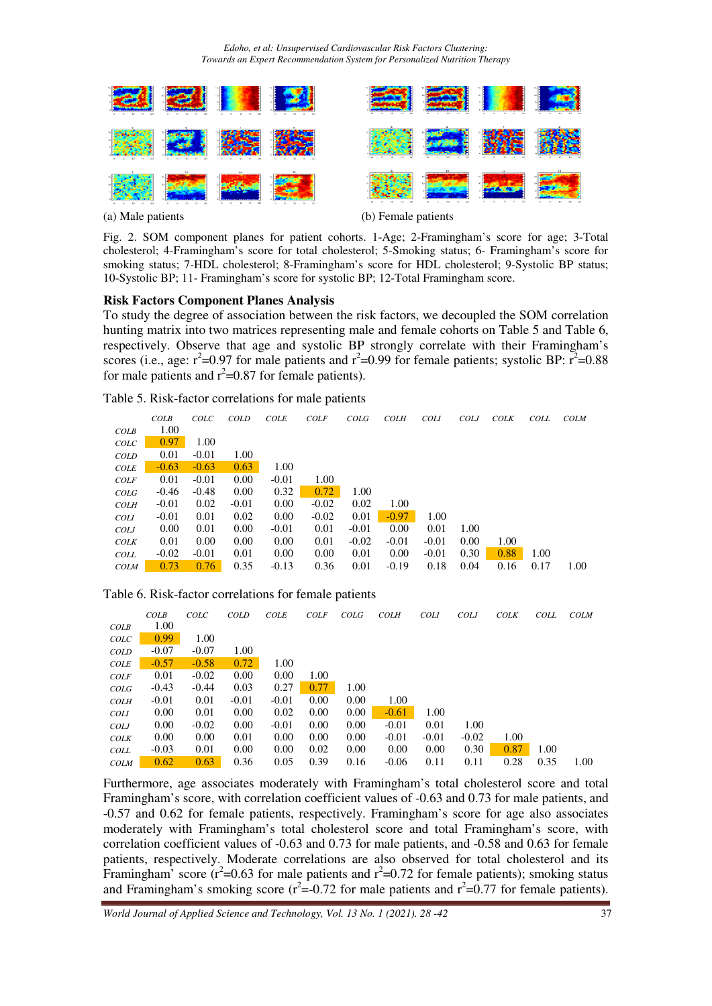*Edoho, et al: Unsupervised Cardiovascular Risk Factors Clustering: Towards an Expert Recommendation System for Personalized Nutrition Therapy* 



(a) Male patients (b) Female patients

Fig. 2. SOM component planes for patient cohorts. 1-Age; 2-Framingham's score for age; 3-Total cholesterol; 4-Framingham's score for total cholesterol; 5-Smoking status; 6- Framingham's score for smoking status; 7-HDL cholesterol; 8-Framingham's score for HDL cholesterol; 9-Systolic BP status; 10-Systolic BP; 11- Framingham's score for systolic BP; 12-Total Framingham score.

### **Risk Factors Component Planes Analysis**

To study the degree of association between the risk factors, we decoupled the SOM correlation hunting matrix into two matrices representing male and female cohorts on Table 5 and Table 6, respectively. Observe that age and systolic BP strongly correlate with their Framingham's scores (i.e., age:  $r^2$ =0.97 for male patients and  $r^2$ =0.99 for female patients; systolic BP:  $r^2$ =0.88 for male patients and  $r^2$ =0.87 for female patients).

|  | Table 5. Risk-factor correlations for male patients |  |  |  |
|--|-----------------------------------------------------|--|--|--|
|--|-----------------------------------------------------|--|--|--|

|             | COLB    | COLC    | <b>COLD</b> | <b>COLE</b> | <b>COLF</b> | COLG    | <b>COLH</b> | <b>COLI</b> | <b>COLJ</b> | <b>COLK</b> | COLL | <b>COLM</b> |
|-------------|---------|---------|-------------|-------------|-------------|---------|-------------|-------------|-------------|-------------|------|-------------|
| COLB        | 1.00    |         |             |             |             |         |             |             |             |             |      |             |
| COLC        | 0.97    | 1.00    |             |             |             |         |             |             |             |             |      |             |
| <b>COLD</b> | 0.01    | $-0.01$ | 1.00        |             |             |         |             |             |             |             |      |             |
| COLE        | $-0.63$ | $-0.63$ | 0.63        | 1.00        |             |         |             |             |             |             |      |             |
| <b>COLF</b> | 0.01    | $-0.01$ | 0.00        | $-0.01$     | 1.00        |         |             |             |             |             |      |             |
| COLG        | $-0.46$ | $-0.48$ | 0.00        | 0.32        | 0.72        | 1.00    |             |             |             |             |      |             |
| <b>COLH</b> | $-0.01$ | 0.02    | $-0.01$     | 0.00        | $-0.02$     | 0.02    | 1.00        |             |             |             |      |             |
| <b>COLI</b> | $-0.01$ | 0.01    | 0.02        | 0.00        | $-0.02$     | 0.01    | $-0.97$     | 1.00        |             |             |      |             |
| <b>COLJ</b> | 0.00    | 0.01    | 0.00        | $-0.01$     | 0.01        | $-0.01$ | 0.00        | 0.01        | 1.00        |             |      |             |
| <b>COLK</b> | 0.01    | 0.00    | 0.00        | 0.00        | 0.01        | $-0.02$ | $-0.01$     | $-0.01$     | 0.00        | 1.00        |      |             |
| <b>COLL</b> | $-0.02$ | $-0.01$ | 0.01        | 0.00        | 0.00        | 0.01    | 0.00        | $-0.01$     | 0.30        | 0.88        | 1.00 |             |
| <b>COLM</b> | 0.73    | 0.76    | 0.35        | $-0.13$     | 0.36        | 0.01    | $-0.19$     | 0.18        | 0.04        | 0.16        | 0.17 | 1.00        |

### Table 6. Risk-factor correlations for female patients

|             | COLB    | COLC    | <b>COLD</b> | <b>COLE</b> | <b>COLF</b> | COLG | <b>COLH</b> | <b>COLI</b> | <b>COLJ</b> | <b>COLK</b> | COLL | <b>COLM</b> |
|-------------|---------|---------|-------------|-------------|-------------|------|-------------|-------------|-------------|-------------|------|-------------|
| COLB        | 1.00    |         |             |             |             |      |             |             |             |             |      |             |
| COLC        | 0.99    | 1.00    |             |             |             |      |             |             |             |             |      |             |
| <b>COLD</b> | $-0.07$ | $-0.07$ | 1.00        |             |             |      |             |             |             |             |      |             |
| <b>COLE</b> | $-0.57$ | $-0.58$ | 0.72        | 1.00        |             |      |             |             |             |             |      |             |
| <b>COLF</b> | 0.01    | $-0.02$ | 0.00        | 0.00        | 1.00        |      |             |             |             |             |      |             |
| COLG        | $-0.43$ | $-0.44$ | 0.03        | 0.27        | 0.77        | 1.00 |             |             |             |             |      |             |
| <b>COLH</b> | $-0.01$ | 0.01    | $-0.01$     | $-0.01$     | 0.00        | 0.00 | 1.00        |             |             |             |      |             |
| <b>COLI</b> | 0.00    | 0.01    | 0.00        | 0.02        | 0.00        | 0.00 | $-0.61$     | 1.00        |             |             |      |             |
| <b>COLJ</b> | 0.00    | $-0.02$ | 0.00        | $-0.01$     | 0.00        | 0.00 | $-0.01$     | 0.01        | 1.00        |             |      |             |
| <b>COLK</b> | 0.00    | 0.00    | 0.01        | 0.00        | 0.00        | 0.00 | $-0.01$     | $-0.01$     | $-0.02$     | 1.00        |      |             |
| <b>COLL</b> | $-0.03$ | 0.01    | 0.00        | 0.00        | 0.02        | 0.00 | 0.00        | 0.00        | 0.30        | 0.87        | 1.00 |             |
| <b>COLM</b> | 0.62    | 0.63    | 0.36        | 0.05        | 0.39        | 0.16 | $-0.06$     | 0.11        | 0.11        | 0.28        | 0.35 | 1.00        |

Furthermore, age associates moderately with Framingham's total cholesterol score and total Framingham's score, with correlation coefficient values of -0.63 and 0.73 for male patients, and -0.57 and 0.62 for female patients, respectively. Framingham's score for age also associates moderately with Framingham's total cholesterol score and total Framingham's score, with correlation coefficient values of -0.63 and 0.73 for male patients, and -0.58 and 0.63 for female patients, respectively. Moderate correlations are also observed for total cholesterol and its Framingham' score ( $r^2$ =0.63 for male patients and  $r^2$ =0.72 for female patients); smoking status and Framingham's smoking score ( $r^2 = 0.72$  for male patients and  $r^2 = 0.77$  for female patients).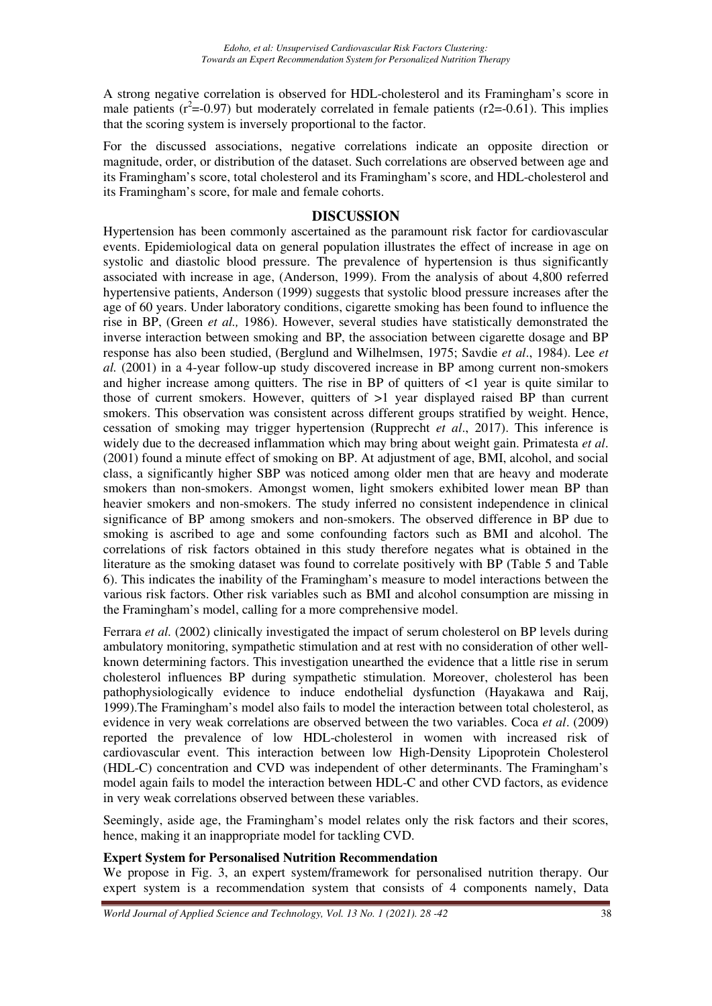A strong negative correlation is observed for HDL-cholesterol and its Framingham's score in male patients ( $r^2$ =-0.97) but moderately correlated in female patients ( $r^2$ =-0.61). This implies that the scoring system is inversely proportional to the factor.

For the discussed associations, negative correlations indicate an opposite direction or magnitude, order, or distribution of the dataset. Such correlations are observed between age and its Framingham's score, total cholesterol and its Framingham's score, and HDL-cholesterol and its Framingham's score, for male and female cohorts.

### **DISCUSSION**

Hypertension has been commonly ascertained as the paramount risk factor for cardiovascular events. Epidemiological data on general population illustrates the effect of increase in age on systolic and diastolic blood pressure. The prevalence of hypertension is thus significantly associated with increase in age, (Anderson, 1999). From the analysis of about 4,800 referred hypertensive patients, Anderson (1999) suggests that systolic blood pressure increases after the age of 60 years. Under laboratory conditions, cigarette smoking has been found to influence the rise in BP, (Green *et al.,* 1986). However, several studies have statistically demonstrated the inverse interaction between smoking and BP, the association between cigarette dosage and BP response has also been studied, (Berglund and Wilhelmsen, 1975; Savdie *et al*., 1984). Lee *et al.* (2001) in a 4-year follow-up study discovered increase in BP among current non-smokers and higher increase among quitters. The rise in BP of quitters of <1 year is quite similar to those of current smokers. However, quitters of >1 year displayed raised BP than current smokers. This observation was consistent across different groups stratified by weight. Hence, cessation of smoking may trigger hypertension (Rupprecht *et al*., 2017). This inference is widely due to the decreased inflammation which may bring about weight gain. Primatesta *et al*. (2001) found a minute effect of smoking on BP. At adjustment of age, BMI, alcohol, and social class, a significantly higher SBP was noticed among older men that are heavy and moderate smokers than non-smokers. Amongst women, light smokers exhibited lower mean BP than heavier smokers and non-smokers. The study inferred no consistent independence in clinical significance of BP among smokers and non-smokers. The observed difference in BP due to smoking is ascribed to age and some confounding factors such as BMI and alcohol. The correlations of risk factors obtained in this study therefore negates what is obtained in the literature as the smoking dataset was found to correlate positively with BP (Table 5 and Table 6). This indicates the inability of the Framingham's measure to model interactions between the various risk factors. Other risk variables such as BMI and alcohol consumption are missing in the Framingham's model, calling for a more comprehensive model.

Ferrara *et al.* (2002) clinically investigated the impact of serum cholesterol on BP levels during ambulatory monitoring, sympathetic stimulation and at rest with no consideration of other wellknown determining factors. This investigation unearthed the evidence that a little rise in serum cholesterol influences BP during sympathetic stimulation. Moreover, cholesterol has been pathophysiologically evidence to induce endothelial dysfunction (Hayakawa and Raij, 1999).The Framingham's model also fails to model the interaction between total cholesterol, as evidence in very weak correlations are observed between the two variables. Coca *et al*. (2009) reported the prevalence of low HDL-cholesterol in women with increased risk of cardiovascular event. This interaction between low High-Density Lipoprotein Cholesterol (HDL-C) concentration and CVD was independent of other determinants. The Framingham's model again fails to model the interaction between HDL-C and other CVD factors, as evidence in very weak correlations observed between these variables.

Seemingly, aside age, the Framingham's model relates only the risk factors and their scores, hence, making it an inappropriate model for tackling CVD.

# **Expert System for Personalised Nutrition Recommendation**

We propose in Fig. 3, an expert system/framework for personalised nutrition therapy. Our expert system is a recommendation system that consists of 4 components namely, Data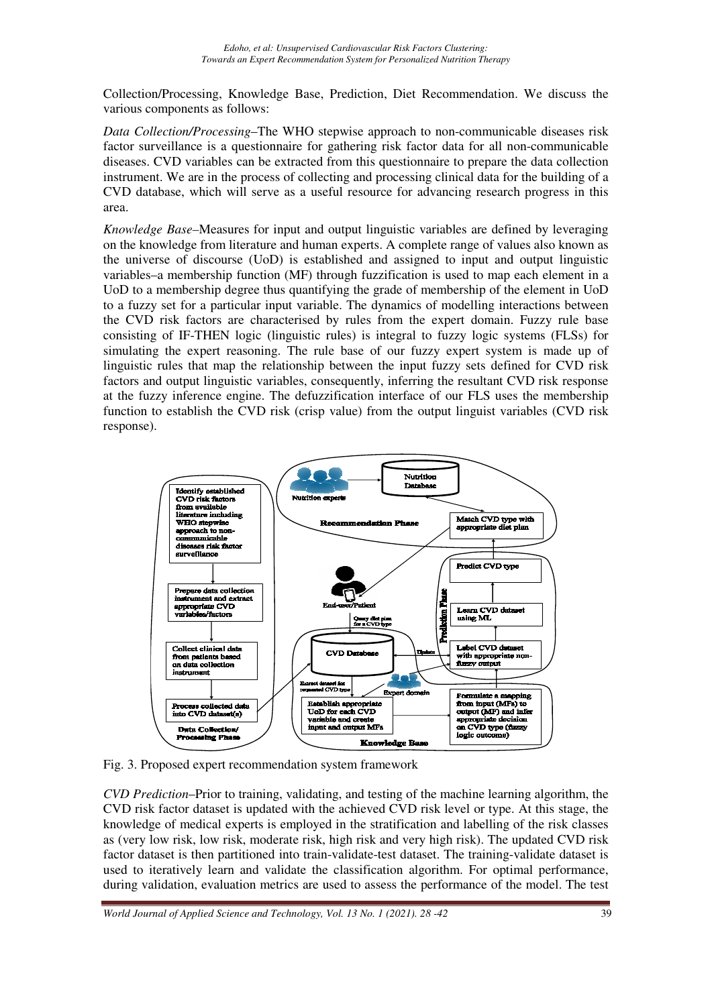Collection/Processing, Knowledge Base, Prediction, Diet Recommendation. We discuss the various components as follows:

*Data Collection/Processing*–The WHO stepwise approach to non-communicable diseases risk factor surveillance is a questionnaire for gathering risk factor data for all non-communicable diseases. CVD variables can be extracted from this questionnaire to prepare the data collection instrument. We are in the process of collecting and processing clinical data for the building of a CVD database, which will serve as a useful resource for advancing research progress in this area.

*Knowledge Base–*Measures for input and output linguistic variables are defined by leveraging on the knowledge from literature and human experts. A complete range of values also known as the universe of discourse (UoD) is established and assigned to input and output linguistic variables–a membership function (MF) through fuzzification is used to map each element in a UoD to a membership degree thus quantifying the grade of membership of the element in UoD to a fuzzy set for a particular input variable. The dynamics of modelling interactions between the CVD risk factors are characterised by rules from the expert domain. Fuzzy rule base consisting of IF-THEN logic (linguistic rules) is integral to fuzzy logic systems (FLSs) for simulating the expert reasoning. The rule base of our fuzzy expert system is made up of linguistic rules that map the relationship between the input fuzzy sets defined for CVD risk factors and output linguistic variables, consequently, inferring the resultant CVD risk response at the fuzzy inference engine. The defuzzification interface of our FLS uses the membership function to establish the CVD risk (crisp value) from the output linguist variables (CVD risk response).



Fig. 3. Proposed expert recommendation system framework

*CVD Prediction*–Prior to training, validating, and testing of the machine learning algorithm, the CVD risk factor dataset is updated with the achieved CVD risk level or type. At this stage, the knowledge of medical experts is employed in the stratification and labelling of the risk classes as (very low risk, low risk, moderate risk, high risk and very high risk). The updated CVD risk factor dataset is then partitioned into train-validate-test dataset. The training-validate dataset is used to iteratively learn and validate the classification algorithm. For optimal performance, during validation, evaluation metrics are used to assess the performance of the model. The test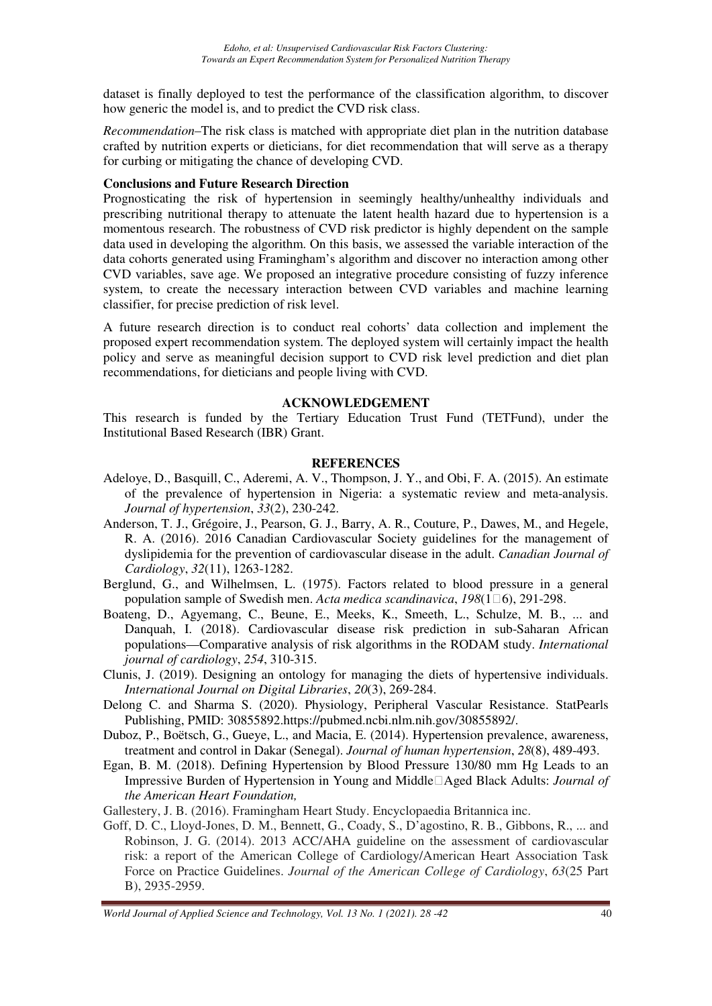dataset is finally deployed to test the performance of the classification algorithm, to discover how generic the model is, and to predict the CVD risk class.

*Recommendation–*The risk class is matched with appropriate diet plan in the nutrition database crafted by nutrition experts or dieticians, for diet recommendation that will serve as a therapy for curbing or mitigating the chance of developing CVD.

#### **Conclusions and Future Research Direction**

Prognosticating the risk of hypertension in seemingly healthy/unhealthy individuals and prescribing nutritional therapy to attenuate the latent health hazard due to hypertension is a momentous research. The robustness of CVD risk predictor is highly dependent on the sample data used in developing the algorithm. On this basis, we assessed the variable interaction of the data cohorts generated using Framingham's algorithm and discover no interaction among other CVD variables, save age. We proposed an integrative procedure consisting of fuzzy inference system, to create the necessary interaction between CVD variables and machine learning classifier, for precise prediction of risk level.

A future research direction is to conduct real cohorts' data collection and implement the proposed expert recommendation system. The deployed system will certainly impact the health policy and serve as meaningful decision support to CVD risk level prediction and diet plan recommendations, for dieticians and people living with CVD.

#### **ACKNOWLEDGEMENT**

This research is funded by the Tertiary Education Trust Fund (TETFund), under the Institutional Based Research (IBR) Grant.

#### **REFERENCES**

- Adeloye, D., Basquill, C., Aderemi, A. V., Thompson, J. Y., and Obi, F. A. (2015). An estimate of the prevalence of hypertension in Nigeria: a systematic review and meta-analysis. *Journal of hypertension*, *33*(2), 230-242.
- Anderson, T. J., Grégoire, J., Pearson, G. J., Barry, A. R., Couture, P., Dawes, M., and Hegele, R. A. (2016). 2016 Canadian Cardiovascular Society guidelines for the management of dyslipidemia for the prevention of cardiovascular disease in the adult. *Canadian Journal of Cardiology*, *32*(11), 1263-1282.
- Berglund, G., and Wilhelmsen, L. (1975). Factors related to blood pressure in a general population sample of Swedish men. *Acta medica scandinavica*, *198*(1□6), 291-298.
- Boateng, D., Agyemang, C., Beune, E., Meeks, K., Smeeth, L., Schulze, M. B., ... and Danquah, I. (2018). Cardiovascular disease risk prediction in sub-Saharan African populations—Comparative analysis of risk algorithms in the RODAM study. *International journal of cardiology*, *254*, 310-315.
- Clunis, J. (2019). Designing an ontology for managing the diets of hypertensive individuals. *International Journal on Digital Libraries*, *20*(3), 269-284.
- Delong C. and Sharma S. (2020). Physiology, Peripheral Vascular Resistance. StatPearls Publishing, PMID: 30855892.https://pubmed.ncbi.nlm.nih.gov/30855892/.
- Duboz, P., Boëtsch, G., Gueye, L., and Macia, E. (2014). Hypertension prevalence, awareness, treatment and control in Dakar (Senegal). *Journal of human hypertension*, *28*(8), 489-493.
- Egan, B. M. (2018). Defining Hypertension by Blood Pressure 130/80 mm Hg Leads to an Impressive Burden of Hypertension in Young and Middle‐Aged Black Adults: *Journal of the American Heart Foundation,*
- Gallestery, J. B. (2016). Framingham Heart Study. Encyclopaedia Britannica inc.
- Goff, D. C., Lloyd-Jones, D. M., Bennett, G., Coady, S., D'agostino, R. B., Gibbons, R., ... and Robinson, J. G. (2014). 2013 ACC/AHA guideline on the assessment of cardiovascular risk: a report of the American College of Cardiology/American Heart Association Task Force on Practice Guidelines. *Journal of the American College of Cardiology*, *63*(25 Part B), 2935-2959.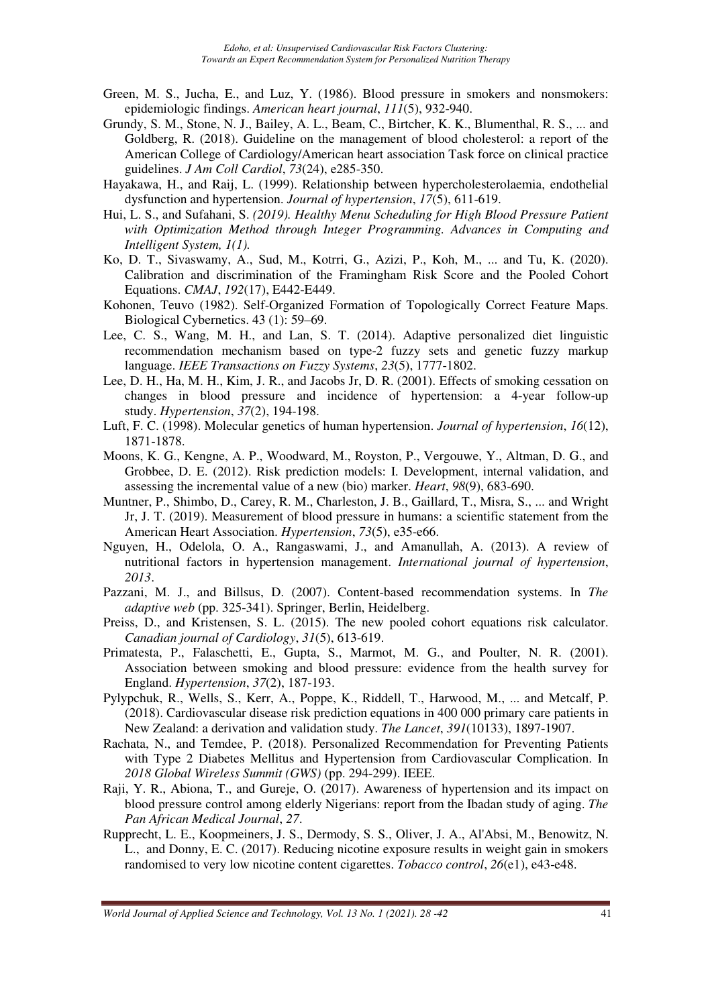- Green, M. S., Jucha, E., and Luz, Y. (1986). Blood pressure in smokers and nonsmokers: epidemiologic findings. *American heart journal*, *111*(5), 932-940.
- Grundy, S. M., Stone, N. J., Bailey, A. L., Beam, C., Birtcher, K. K., Blumenthal, R. S., ... and Goldberg, R. (2018). Guideline on the management of blood cholesterol: a report of the American College of Cardiology/American heart association Task force on clinical practice guidelines. *J Am Coll Cardiol*, *73*(24), e285-350.
- Hayakawa, H., and Raij, L. (1999). Relationship between hypercholesterolaemia, endothelial dysfunction and hypertension. *Journal of hypertension*, *17*(5), 611-619.
- Hui, L. S., and Sufahani, S. *(2019). Healthy Menu Scheduling for High Blood Pressure Patient with Optimization Method through Integer Programming. Advances in Computing and Intelligent System, 1(1).*
- Ko, D. T., Sivaswamy, A., Sud, M., Kotrri, G., Azizi, P., Koh, M., ... and Tu, K. (2020). Calibration and discrimination of the Framingham Risk Score and the Pooled Cohort Equations. *CMAJ*, *192*(17), E442-E449.
- Kohonen, Teuvo (1982). Self-Organized Formation of Topologically Correct Feature Maps. Biological Cybernetics. 43 (1): 59–69.
- Lee, C. S., Wang, M. H., and Lan, S. T. (2014). Adaptive personalized diet linguistic recommendation mechanism based on type-2 fuzzy sets and genetic fuzzy markup language. *IEEE Transactions on Fuzzy Systems*, *23*(5), 1777-1802.
- Lee, D. H., Ha, M. H., Kim, J. R., and Jacobs Jr, D. R. (2001). Effects of smoking cessation on changes in blood pressure and incidence of hypertension: a 4-year follow-up study. *Hypertension*, *37*(2), 194-198.
- Luft, F. C. (1998). Molecular genetics of human hypertension. *Journal of hypertension*, *16*(12), 1871-1878.
- Moons, K. G., Kengne, A. P., Woodward, M., Royston, P., Vergouwe, Y., Altman, D. G., and Grobbee, D. E. (2012). Risk prediction models: I. Development, internal validation, and assessing the incremental value of a new (bio) marker. *Heart*, *98*(9), 683-690.
- Muntner, P., Shimbo, D., Carey, R. M., Charleston, J. B., Gaillard, T., Misra, S., ... and Wright Jr, J. T. (2019). Measurement of blood pressure in humans: a scientific statement from the American Heart Association. *Hypertension*, *73*(5), e35-e66.
- Nguyen, H., Odelola, O. A., Rangaswami, J., and Amanullah, A. (2013). A review of nutritional factors in hypertension management. *International journal of hypertension*, *2013*.
- Pazzani, M. J., and Billsus, D. (2007). Content-based recommendation systems. In *The adaptive web* (pp. 325-341). Springer, Berlin, Heidelberg.
- Preiss, D., and Kristensen, S. L. (2015). The new pooled cohort equations risk calculator. *Canadian journal of Cardiology*, *31*(5), 613-619.
- Primatesta, P., Falaschetti, E., Gupta, S., Marmot, M. G., and Poulter, N. R. (2001). Association between smoking and blood pressure: evidence from the health survey for England. *Hypertension*, *37*(2), 187-193.
- Pylypchuk, R., Wells, S., Kerr, A., Poppe, K., Riddell, T., Harwood, M., ... and Metcalf, P. (2018). Cardiovascular disease risk prediction equations in 400 000 primary care patients in New Zealand: a derivation and validation study. *The Lancet*, *391*(10133), 1897-1907.
- Rachata, N., and Temdee, P. (2018). Personalized Recommendation for Preventing Patients with Type 2 Diabetes Mellitus and Hypertension from Cardiovascular Complication. In *2018 Global Wireless Summit (GWS)* (pp. 294-299). IEEE.
- Raji, Y. R., Abiona, T., and Gureje, O. (2017). Awareness of hypertension and its impact on blood pressure control among elderly Nigerians: report from the Ibadan study of aging. *The Pan African Medical Journal*, *27*.
- Rupprecht, L. E., Koopmeiners, J. S., Dermody, S. S., Oliver, J. A., Al'Absi, M., Benowitz, N. L., and Donny, E. C. (2017). Reducing nicotine exposure results in weight gain in smokers randomised to very low nicotine content cigarettes. *Tobacco control*, *26*(e1), e43-e48.